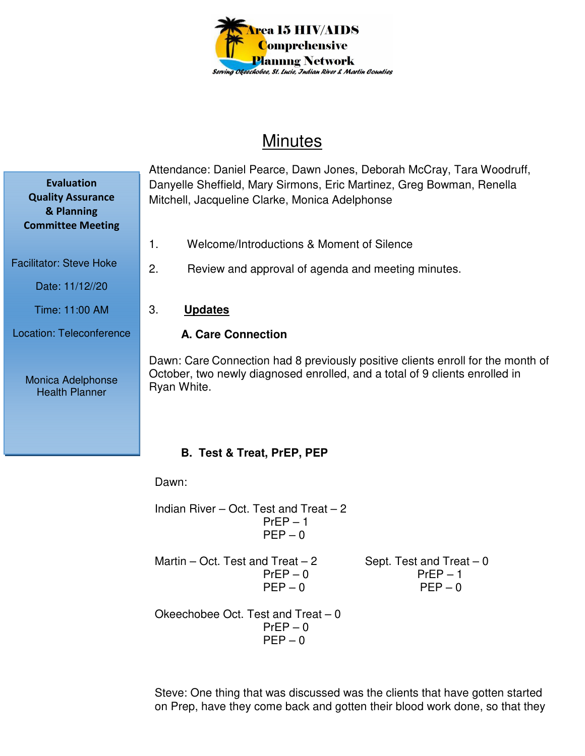

# **Minutes**

Attendance: Daniel Pearce, Dawn Jones, Deborah McCray, Tara Woodruff, Danyelle Sheffield, Mary Sirmons, Eric Martinez, Greg Bowman, Renella Mitchell, Jacqueline Clarke, Monica Adelphonse

- 1. Welcome/Introductions & Moment of Silence
- 2. Review and approval of agenda and meeting minutes.
- 3. **Updates**

### **A. Care Connection**

Dawn: Care Connection had 8 previously positive clients enroll for the month of October, two newly diagnosed enrolled, and a total of 9 clients enrolled in Ryan White.

# **B. Test & Treat, PrEP, PEP**

Dawn:

Indian River – Oct. Test and Treat – 2  $PrEP - 1$  $PEP - 0$ 

Martin – Oct. Test and Treat – 2 Sept. Test and Treat – 0

 $PrEP - 0$  Pr $EP - 1$  $PFP = 0$  PFP – 0

Okeechobee Oct. Test and Treat – 0  $PrEP - 0$  $PEP - 0$ 

Steve: One thing that was discussed was the clients that have gotten started on Prep, have they come back and gotten their blood work done, so that they

**Quality Assurance & Planning Committee Meeting** 

**Evaluation** 

Facilitator: Steve Hoke

Date: 11/12//20

Time: 11:00 AM

Location: Teleconference

Monica Adelphonse Health Planner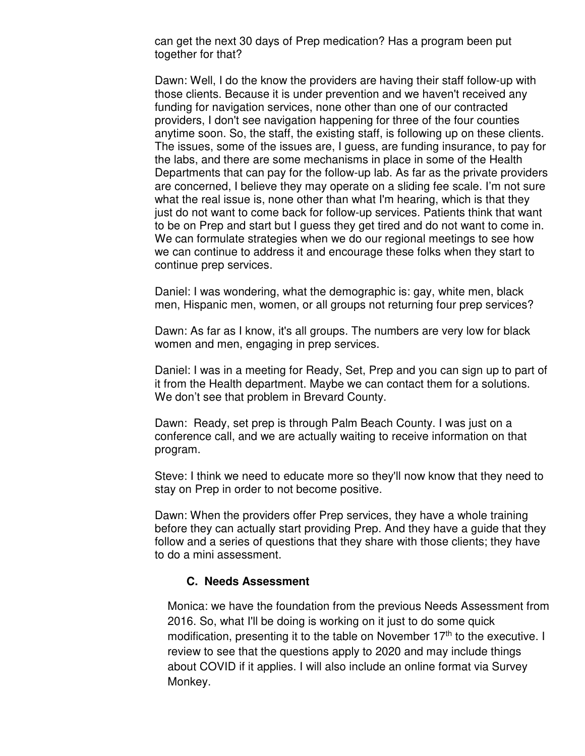can get the next 30 days of Prep medication? Has a program been put together for that?

Dawn: Well, I do the know the providers are having their staff follow-up with those clients. Because it is under prevention and we haven't received any funding for navigation services, none other than one of our contracted providers, I don't see navigation happening for three of the four counties anytime soon. So, the staff, the existing staff, is following up on these clients. The issues, some of the issues are, I guess, are funding insurance, to pay for the labs, and there are some mechanisms in place in some of the Health Departments that can pay for the follow-up lab. As far as the private providers are concerned, I believe they may operate on a sliding fee scale. I'm not sure what the real issue is, none other than what I'm hearing, which is that they just do not want to come back for follow-up services. Patients think that want to be on Prep and start but I guess they get tired and do not want to come in. We can formulate strategies when we do our regional meetings to see how we can continue to address it and encourage these folks when they start to continue prep services.

Daniel: I was wondering, what the demographic is: gay, white men, black men, Hispanic men, women, or all groups not returning four prep services?

Dawn: As far as I know, it's all groups. The numbers are very low for black women and men, engaging in prep services.

Daniel: I was in a meeting for Ready, Set, Prep and you can sign up to part of it from the Health department. Maybe we can contact them for a solutions. We don't see that problem in Brevard County.

Dawn: Ready, set prep is through Palm Beach County. I was just on a conference call, and we are actually waiting to receive information on that program.

Steve: I think we need to educate more so they'll now know that they need to stay on Prep in order to not become positive.

Dawn: When the providers offer Prep services, they have a whole training before they can actually start providing Prep. And they have a guide that they follow and a series of questions that they share with those clients; they have to do a mini assessment.

#### **C. Needs Assessment**

Monica: we have the foundation from the previous Needs Assessment from 2016. So, what I'll be doing is working on it just to do some quick modification, presenting it to the table on November  $17<sup>th</sup>$  to the executive. I review to see that the questions apply to 2020 and may include things about COVID if it applies. I will also include an online format via Survey Monkey.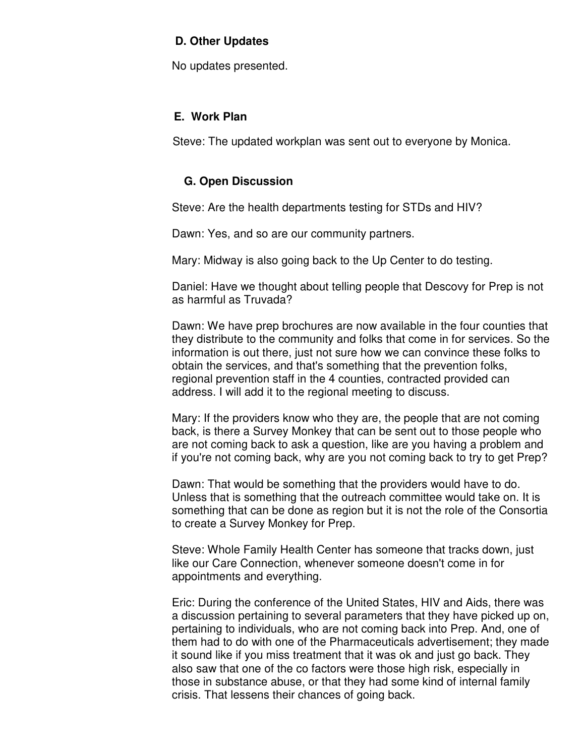### **D. Other Updates**

No updates presented.

## **E. Work Plan**

Steve: The updated workplan was sent out to everyone by Monica.

# **G. Open Discussion**

Steve: Are the health departments testing for STDs and HIV?

Dawn: Yes, and so are our community partners.

Mary: Midway is also going back to the Up Center to do testing.

Daniel: Have we thought about telling people that Descovy for Prep is not as harmful as Truvada?

Dawn: We have prep brochures are now available in the four counties that they distribute to the community and folks that come in for services. So the information is out there, just not sure how we can convince these folks to obtain the services, and that's something that the prevention folks, regional prevention staff in the 4 counties, contracted provided can address. I will add it to the regional meeting to discuss.

Mary: If the providers know who they are, the people that are not coming back, is there a Survey Monkey that can be sent out to those people who are not coming back to ask a question, like are you having a problem and if you're not coming back, why are you not coming back to try to get Prep?

Dawn: That would be something that the providers would have to do. Unless that is something that the outreach committee would take on. It is something that can be done as region but it is not the role of the Consortia to create a Survey Monkey for Prep.

Steve: Whole Family Health Center has someone that tracks down, just like our Care Connection, whenever someone doesn't come in for appointments and everything.

Eric: During the conference of the United States, HIV and Aids, there was a discussion pertaining to several parameters that they have picked up on, pertaining to individuals, who are not coming back into Prep. And, one of them had to do with one of the Pharmaceuticals advertisement; they made it sound like if you miss treatment that it was ok and just go back. They also saw that one of the co factors were those high risk, especially in those in substance abuse, or that they had some kind of internal family crisis. That lessens their chances of going back.